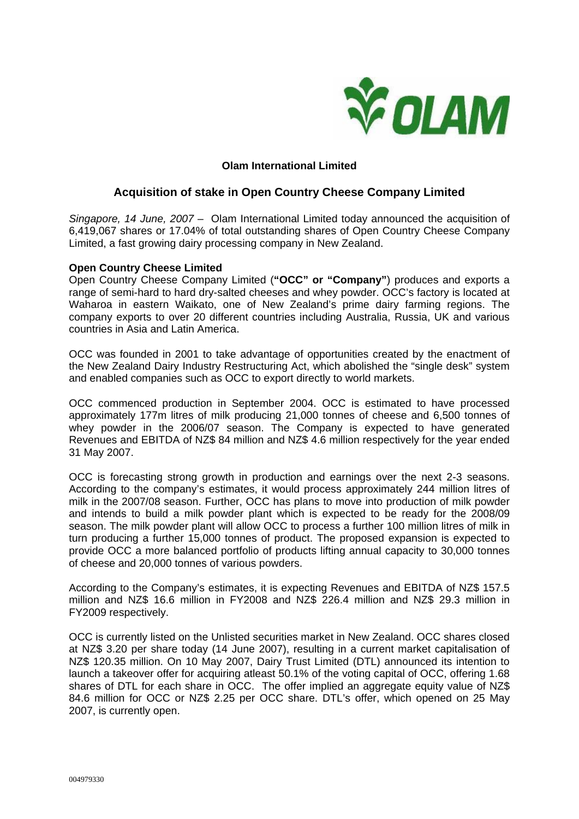

## **Olam International Limited**

# **Acquisition of stake in Open Country Cheese Company Limited**

*Singapore, 14 June, 2007* – Olam International Limited today announced the acquisition of 6,419,067 shares or 17.04% of total outstanding shares of Open Country Cheese Company Limited, a fast growing dairy processing company in New Zealand.

### **Open Country Cheese Limited**

Open Country Cheese Company Limited (**"OCC" or "Company"**) produces and exports a range of semi-hard to hard dry-salted cheeses and whey powder. OCC's factory is located at Waharoa in eastern Waikato, one of New Zealand's prime dairy farming regions. The company exports to over 20 different countries including Australia, Russia, UK and various countries in Asia and Latin America.

OCC was founded in 2001 to take advantage of opportunities created by the enactment of the New Zealand Dairy Industry Restructuring Act, which abolished the "single desk" system and enabled companies such as OCC to export directly to world markets.

OCC commenced production in September 2004. OCC is estimated to have processed approximately 177m litres of milk producing 21,000 tonnes of cheese and 6,500 tonnes of whey powder in the 2006/07 season. The Company is expected to have generated Revenues and EBITDA of NZ\$ 84 million and NZ\$ 4.6 million respectively for the year ended 31 May 2007.

OCC is forecasting strong growth in production and earnings over the next 2-3 seasons. According to the company's estimates, it would process approximately 244 million litres of milk in the 2007/08 season. Further, OCC has plans to move into production of milk powder and intends to build a milk powder plant which is expected to be ready for the 2008/09 season. The milk powder plant will allow OCC to process a further 100 million litres of milk in turn producing a further 15,000 tonnes of product. The proposed expansion is expected to provide OCC a more balanced portfolio of products lifting annual capacity to 30,000 tonnes of cheese and 20,000 tonnes of various powders.

According to the Company's estimates, it is expecting Revenues and EBITDA of NZ\$ 157.5 million and NZ\$ 16.6 million in FY2008 and NZ\$ 226.4 million and NZ\$ 29.3 million in FY2009 respectively.

OCC is currently listed on the Unlisted securities market in New Zealand. OCC shares closed at NZ\$ 3.20 per share today (14 June 2007), resulting in a current market capitalisation of NZ\$ 120.35 million. On 10 May 2007, Dairy Trust Limited (DTL) announced its intention to launch a takeover offer for acquiring atleast 50.1% of the voting capital of OCC, offering 1.68 shares of DTL for each share in OCC. The offer implied an aggregate equity value of NZ\$ 84.6 million for OCC or NZ\$ 2.25 per OCC share. DTL's offer, which opened on 25 May 2007, is currently open.